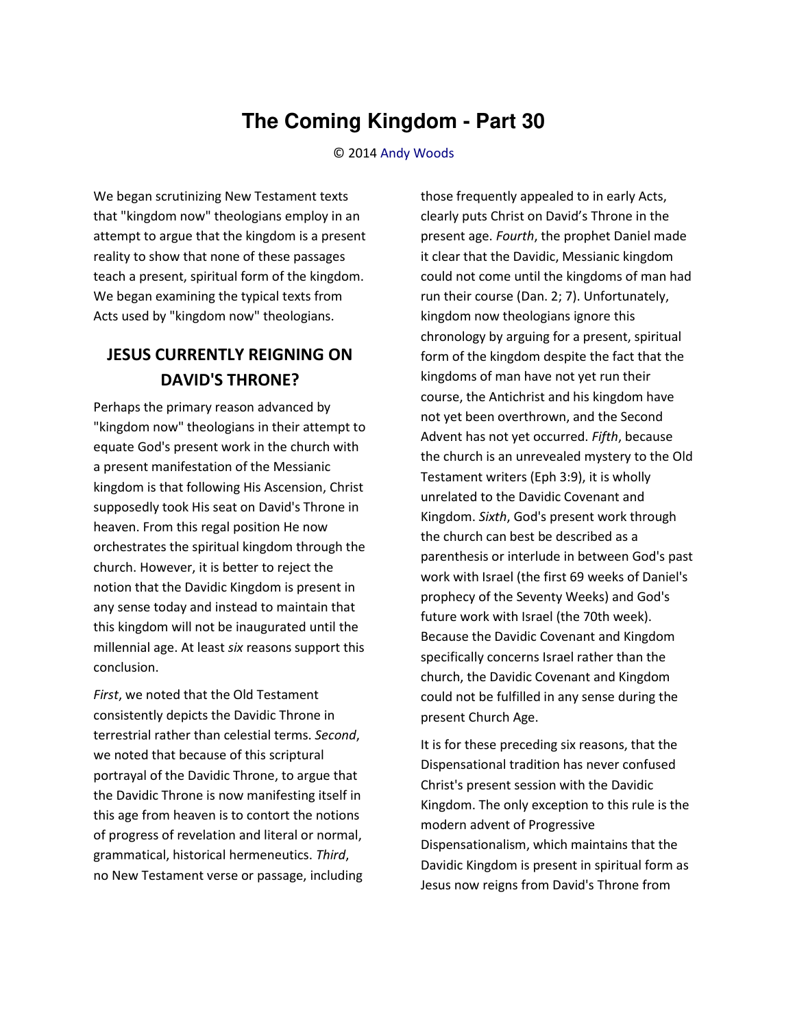## **The Coming Kingdom - Part 30**

© 2014 [Andy Woods](http://www.spiritandtruth.org/id/aw.htm)

We began scrutinizing New Testament texts that "kingdom now" theologians employ in an attempt to argue that the kingdom is a present reality to show that none of these passages teach a present, spiritual form of the kingdom. We began examining the typical texts from Acts used by "kingdom now" theologians.

## **JESUS CURRENTLY REIGNING ON DAVID'S THRONE?**

Perhaps the primary reason advanced by "kingdom now" theologians in their attempt to equate God's present work in the church with a present manifestation of the Messianic kingdom is that following His Ascension, Christ supposedly took His seat on David's Throne in heaven. From this regal position He now orchestrates the spiritual kingdom through the church. However, it is better to reject the notion that the Davidic Kingdom is present in any sense today and instead to maintain that this kingdom will not be inaugurated until the millennial age. At least *six* reasons support this conclusion.

*First*, we noted that the Old Testament consistently depicts the Davidic Throne in terrestrial rather than celestial terms. *Second*, we noted that because of this scriptural portrayal of the Davidic Throne, to argue that the Davidic Throne is now manifesting itself in this age from heaven is to contort the notions of progress of revelation and literal or normal, grammatical, historical hermeneutics. *Third*, no New Testament verse or passage, including those frequently appealed to in early Acts, clearly puts Christ on David's Throne in the present age. *Fourth*, the prophet Daniel made it clear that the Davidic, Messianic kingdom could not come until the kingdoms of man had run their course (Dan. 2; 7). Unfortunately, kingdom now theologians ignore this chronology by arguing for a present, spiritual form of the kingdom despite the fact that the kingdoms of man have not yet run their course, the Antichrist and his kingdom have not yet been overthrown, and the Second Advent has not yet occurred. *Fifth*, because the church is an unrevealed mystery to the Old Testament writers (Eph 3:9), it is wholly unrelated to the Davidic Covenant and Kingdom. *Sixth*, God's present work through the church can best be described as a parenthesis or interlude in between God's past work with Israel (the first 69 weeks of Daniel's prophecy of the Seventy Weeks) and God's future work with Israel (the 70th week). Because the Davidic Covenant and Kingdom specifically concerns Israel rather than the church, the Davidic Covenant and Kingdom could not be fulfilled in any sense during the present Church Age.

It is for these preceding six reasons, that the Dispensational tradition has never confused Christ's present session with the Davidic Kingdom. The only exception to this rule is the modern advent of Progressive Dispensationalism, which maintains that the Davidic Kingdom is present in spiritual form as Jesus now reigns from David's Throne from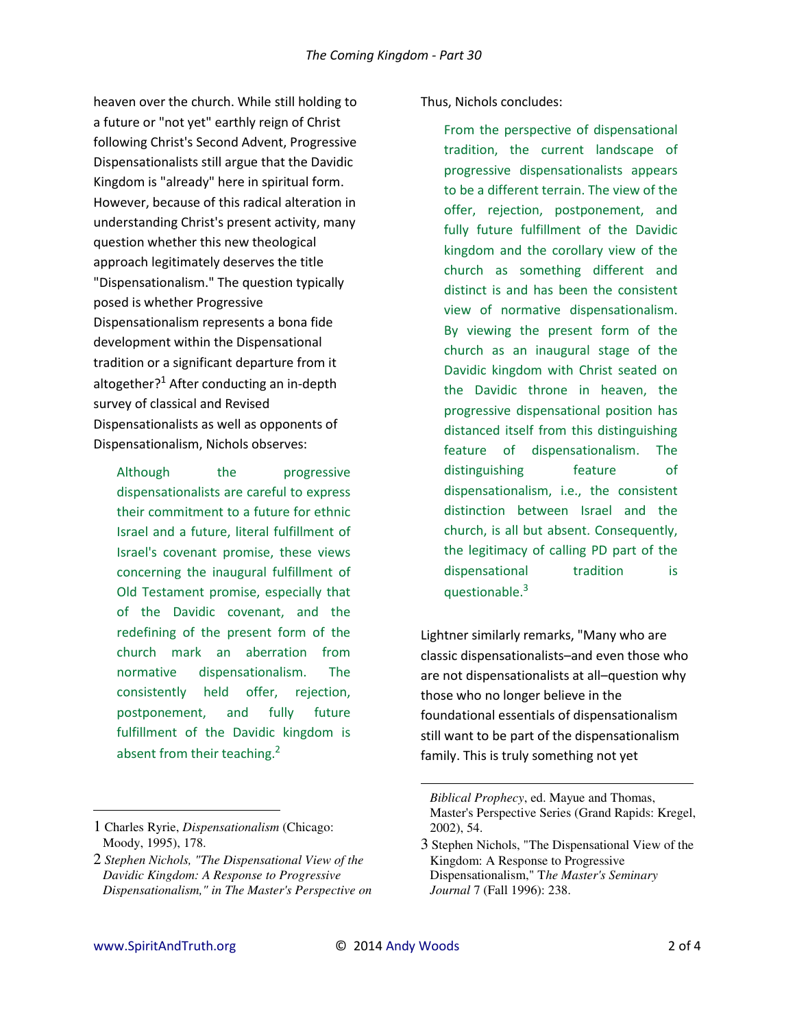heaven over the church. While still holding to a future or "not yet" earthly reign of Christ following Christ's Second Advent, Progressive Dispensationalists still argue that the Davidic Kingdom is "already" here in spiritual form. However, because of this radical alteration in understanding Christ's present activity, many question whether this new theological approach legitimately deserves the title "Dispensationalism." The question typically posed is whether Progressive Dispensationalism represents a bona fide development within the Dispensational tradition or a significant departure from it altogether?<sup>1</sup> After conducting an in-depth survey of classical and Revised Dispensationalists as well as opponents of Dispensationalism, Nichols observes:

Although the progressive dispensationalists are careful to express their commitment to a future for ethnic Israel and a future, literal fulfillment of Israel's covenant promise, these views concerning the inaugural fulfillment of Old Testament promise, especially that of the Davidic covenant, and the redefining of the present form of the church mark an aberration from normative dispensationalism. The consistently held offer, rejection, postponement, and fully future fulfillment of the Davidic kingdom is absent from their teaching.<sup>2</sup>

## Thus, Nichols concludes:

From the perspective of dispensational tradition, the current landscape of progressive dispensationalists appears to be a different terrain. The view of the offer, rejection, postponement, and fully future fulfillment of the Davidic kingdom and the corollary view of the church as something different and distinct is and has been the consistent view of normative dispensationalism. By viewing the present form of the church as an inaugural stage of the Davidic kingdom with Christ seated on the Davidic throne in heaven, the progressive dispensational position has distanced itself from this distinguishing feature of dispensationalism. The distinguishing feature of dispensationalism, i.e., the consistent distinction between Israel and the church, is all but absent. Consequently, the legitimacy of calling PD part of the dispensational tradition is questionable.<sup>3</sup>

Lightner similarly remarks, "Many who are classic dispensationalists–and even those who are not dispensationalists at all–question why those who no longer believe in the foundational essentials of dispensationalism still want to be part of the dispensationalism family. This is truly something not yet

 $\overline{\phantom{0}}$ 

 $\overline{a}$ 

<sup>1</sup> Charles Ryrie, *Dispensationalism* (Chicago: Moody, 1995), 178.

<sup>2</sup> *Stephen Nichols, "The Dispensational View of the Davidic Kingdom: A Response to Progressive Dispensationalism," in The Master's Perspective on* 

*Biblical Prophecy*, ed. Mayue and Thomas, Master's Perspective Series (Grand Rapids: Kregel, 2002), 54.

<sup>3</sup> Stephen Nichols, "The Dispensational View of the Kingdom: A Response to Progressive Dispensationalism," T*he Master's Seminary Journal* 7 (Fall 1996): 238.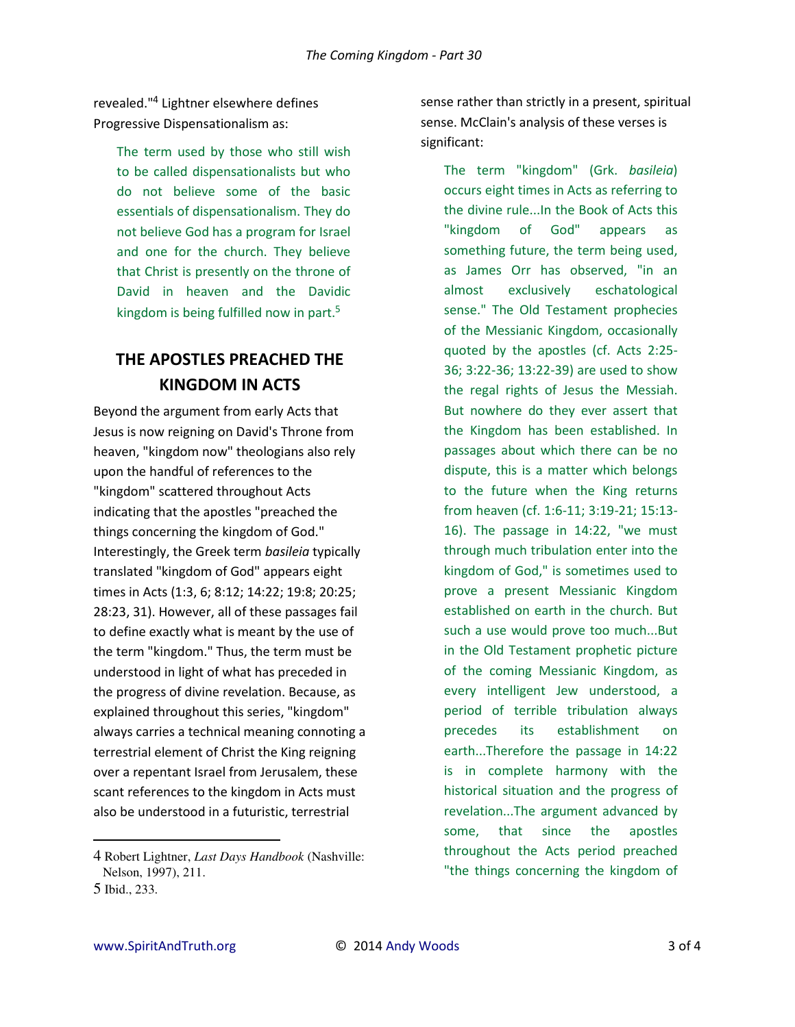revealed."<sup>4</sup> Lightner elsewhere defines Progressive Dispensationalism as:

> The term used by those who still wish to be called dispensationalists but who do not believe some of the basic essentials of dispensationalism. They do not believe God has a program for Israel and one for the church. They believe that Christ is presently on the throne of David in heaven and the Davidic kingdom is being fulfilled now in part.<sup>5</sup>

## **THE APOSTLES PREACHED THE KINGDOM IN ACTS**

Beyond the argument from early Acts that Jesus is now reigning on David's Throne from heaven, "kingdom now" theologians also rely upon the handful of references to the "kingdom" scattered throughout Acts indicating that the apostles "preached the things concerning the kingdom of God." Interestingly, the Greek term *basileia* typically translated "kingdom of God" appears eight times in Acts (1:3, 6; 8:12; 14:22; 19:8; 20:25; 28:23, 31). However, all of these passages fail to define exactly what is meant by the use of the term "kingdom." Thus, the term must be understood in light of what has preceded in the progress of divine revelation. Because, as explained throughout this series, "kingdom" always carries a technical meaning connoting a terrestrial element of Christ the King reigning over a repentant Israel from Jerusalem, these scant references to the kingdom in Acts must also be understood in a futuristic, terrestrial

4 Robert Lightner, *Last Days Handbook* (Nashville: Nelson, 1997), 211. 5 Ibid., 233.

sense rather than strictly in a present, spiritual sense. McClain's analysis of these verses is significant:

The term "kingdom" (Grk. *basileia*) occurs eight times in Acts as referring to the divine rule...In the Book of Acts this "kingdom of God" appears as something future, the term being used, as James Orr has observed, "in an almost exclusively eschatological sense." The Old Testament prophecies of the Messianic Kingdom, occasionally quoted by the apostles (cf. Acts 2:25- 36; 3:22-36; 13:22-39) are used to show the regal rights of Jesus the Messiah. But nowhere do they ever assert that the Kingdom has been established. In passages about which there can be no dispute, this is a matter which belongs to the future when the King returns from heaven (cf. 1:6-11; 3:19-21; 15:13- 16). The passage in 14:22, "we must through much tribulation enter into the kingdom of God," is sometimes used to prove a present Messianic Kingdom established on earth in the church. But such a use would prove too much...But in the Old Testament prophetic picture of the coming Messianic Kingdom, as every intelligent Jew understood, a period of terrible tribulation always precedes its establishment on earth...Therefore the passage in 14:22 is in complete harmony with the historical situation and the progress of revelation...The argument advanced by some, that since the apostles throughout the Acts period preached "the things concerning the kingdom of

l